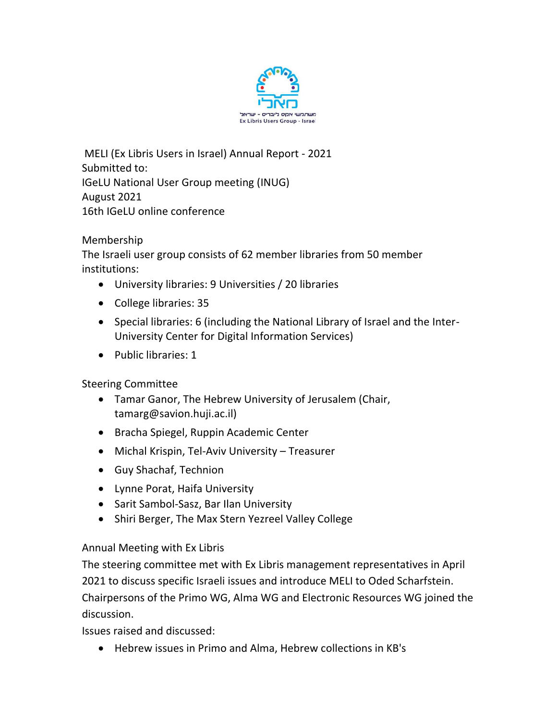

MELI (Ex Libris Users in Israel) Annual Report - 2021 Submitted to: IGeLU National User Group meeting (INUG) August 2021 16th IGeLU online conference

Membership

The Israeli user group consists of 62 member libraries from 50 member institutions:

- University libraries: 9 Universities / 20 libraries
- College libraries: 35
- Special libraries: 6 (including the National Library of Israel and the Inter-University Center for Digital Information Services)
- Public libraries: 1

Steering Committee

- Tamar Ganor, The Hebrew University of Jerusalem (Chair, tamarg@savion.huji.ac.il)
- Bracha Spiegel, Ruppin Academic Center
- Michal Krispin, Tel-Aviv University Treasurer
- Guy Shachaf, Technion
- Lynne Porat, Haifa University
- Sarit Sambol-Sasz, Bar Ilan University
- Shiri Berger, The Max Stern Yezreel Valley College

#### Annual Meeting with Ex Libris

The steering committee met with Ex Libris management representatives in April 2021 to discuss specific Israeli issues and introduce MELI to Oded Scharfstein. Chairpersons of the Primo WG, Alma WG and Electronic Resources WG joined the discussion.

Issues raised and discussed:

• Hebrew issues in Primo and Alma, Hebrew collections in KB's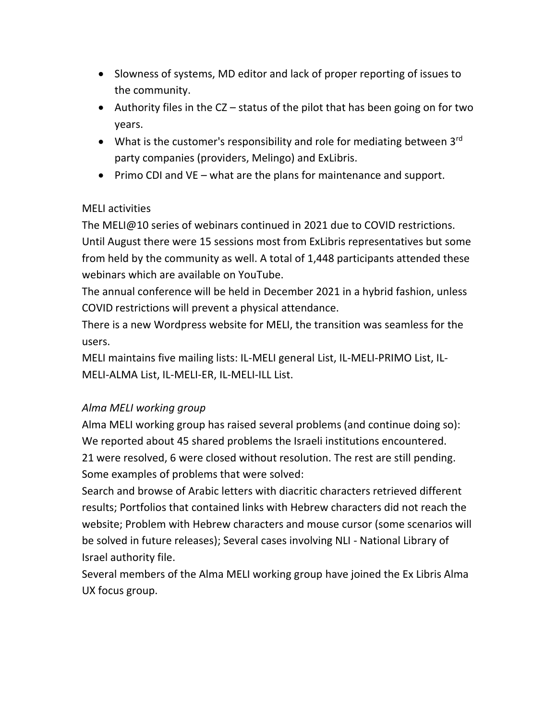- Slowness of systems, MD editor and lack of proper reporting of issues to the community.
- Authority files in the CZ status of the pilot that has been going on for two years.
- What is the customer's responsibility and role for mediating between  $3<sup>rd</sup>$ party companies (providers, Melingo) and ExLibris.
- Primo CDI and VE what are the plans for maintenance and support.

## MELI activities

The MELI@10 series of webinars continued in 2021 due to COVID restrictions.

Until August there were 15 sessions most from ExLibris representatives but some from held by the community as well. A total of 1,448 participants attended these webinars which are available on YouTube.

The annual conference will be held in December 2021 in a hybrid fashion, unless COVID restrictions will prevent a physical attendance.

There is a new Wordpress website for MELI, the transition was seamless for the users.

MELI maintains five mailing lists: IL-MELI general List, IL-MELI-PRIMO List, IL-MELI-ALMA List, IL-MELI-ER, IL-MELI-ILL List.

# *Alma MELI working group*

Alma MELI working group has raised several problems (and continue doing so): We reported about 45 shared problems the Israeli institutions encountered. 21 were resolved, 6 were closed without resolution. The rest are still pending. Some examples of problems that were solved:

Search and browse of Arabic letters with diacritic characters retrieved different results; Portfolios that contained links with Hebrew characters did not reach the website; Problem with Hebrew characters and mouse cursor (some scenarios will be solved in future releases); Several cases involving NLI - National Library of Israel authority file.

Several members of the Alma MELI working group have joined the Ex Libris Alma UX focus group.